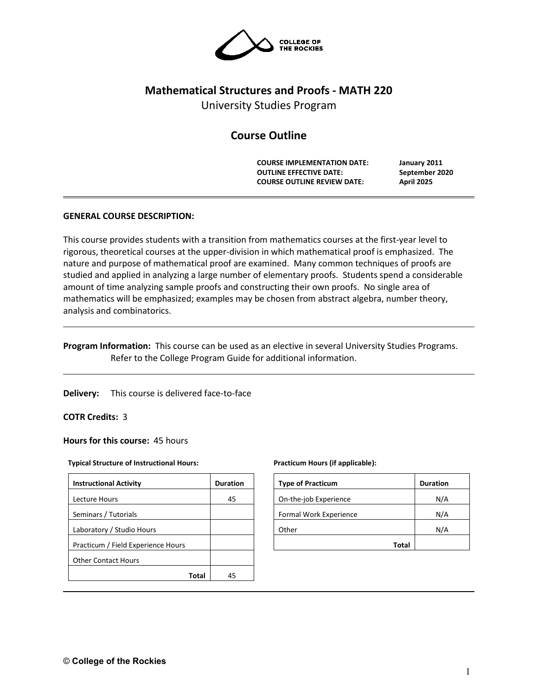

# **Mathematical Structures and Proofs - MATH 220**

University Studies Program

# **Course Outline**

**COURSE IMPLEMENTATION DATE: January 2011 OUTLINE EFFECTIVE DATE: September 2020 COURSE OUTLINE REVIEW DATE: April 2025**

# **GENERAL COURSE DESCRIPTION:**

This course provides students with a transition from mathematics courses at the first-year level to rigorous, theoretical courses at the upper-division in which mathematical proof is emphasized. The nature and purpose of mathematical proof are examined. Many common techniques of proofs are studied and applied in analyzing a large number of elementary proofs. Students spend a considerable amount of time analyzing sample proofs and constructing their own proofs. No single area of mathematics will be emphasized; examples may be chosen from abstract algebra, number theory, analysis and combinatorics.

**Program Information:** This course can be used as an elective in several University Studies Programs. Refer to the College Program Guide for additional information.

**Delivery:** This course is delivered face-to-face

# **COTR Credits:** 3

**Hours for this course:** 45 hours

#### **Typical Structure of Instructional Hours:**

| <b>Instructional Activity</b>      | <b>Duration</b> |  |  |
|------------------------------------|-----------------|--|--|
| Lecture Hours                      | 45              |  |  |
| Seminars / Tutorials               |                 |  |  |
| Laboratory / Studio Hours          |                 |  |  |
| Practicum / Field Experience Hours |                 |  |  |
| <b>Other Contact Hours</b>         |                 |  |  |
| Total                              | 45              |  |  |

#### **Practicum Hours (if applicable):**

| <b>Type of Practicum</b> | <b>Duration</b> |
|--------------------------|-----------------|
| On-the-job Experience    | N/A             |
| Formal Work Experience   | N/A             |
| Other                    | N/A             |
| <b>Total</b>             |                 |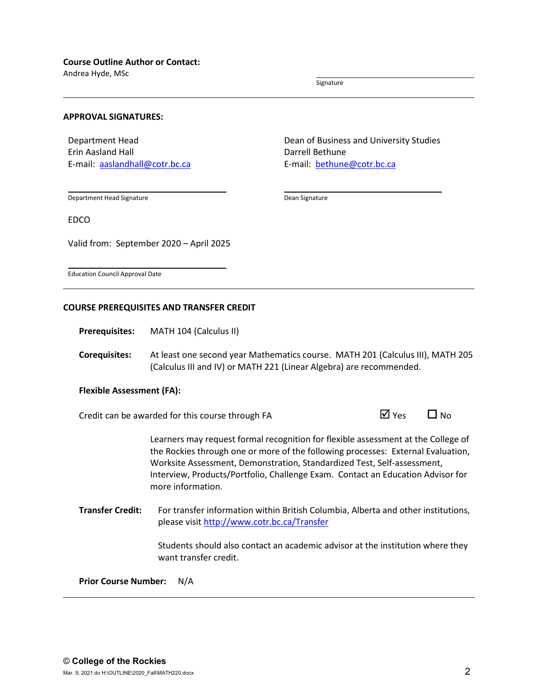Andrea Hyde, MSc

Signature

#### **APPROVAL SIGNATURES:**

Department Head Erin Aasland Hall E-mail: [aaslandhall@cotr.bc.ca](mailto:aaslandhall@cotr.bc.ca) Dean of Business and University Studies Darrell Bethune E-mail: [bethune@cotr.bc.ca](mailto:bethune@cotr.bc.ca)

Department Head Signature

EDCO

Dean Signature

Education Council Approval Date

#### **COURSE PREREQUISITES AND TRANSFER CREDIT**

Valid from: September 2020 – April 2025

**Prerequisites:** MATH 104 (Calculus II)

**Corequisites:** At least one second year Mathematics course. MATH 201 (Calculus III), MATH 205 (Calculus III and IV) or MATH 221 (Linear Algebra) are recommended.

#### **Flexible Assessment (FA):**

Credit can be awarded for this course through FA  $\Box$  Yes  $\Box$  No

Learners may request formal recognition for flexible assessment at the College of the Rockies through one or more of the following processes: External Evaluation, Worksite Assessment, Demonstration, Standardized Test, Self-assessment, Interview, Products/Portfolio, Challenge Exam. Contact an Education Advisor for more information.

**Transfer Credit:** For transfer information within British Columbia, Alberta and other institutions, please visit<http://www.cotr.bc.ca/Transfer>

> Students should also contact an academic advisor at the institution where they want transfer credit.

**Prior Course Number:** N/A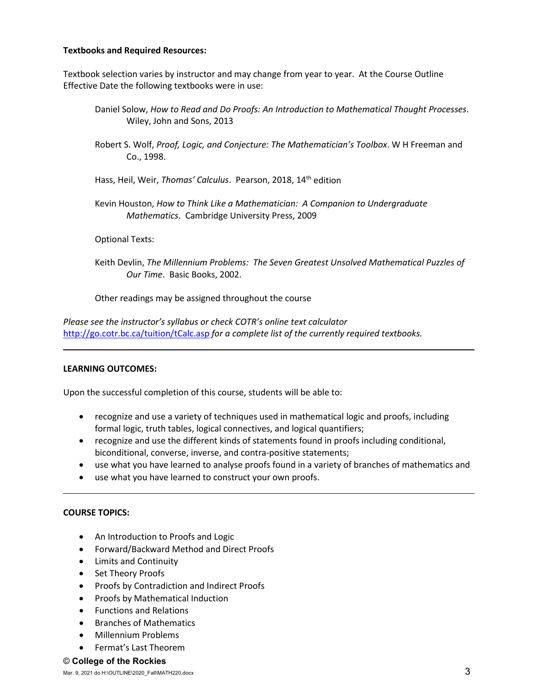# **Textbooks and Required Resources:**

Textbook selection varies by instructor and may change from year to year. At the Course Outline Effective Date the following textbooks were in use:

- Daniel Solow, *How to Read and Do Proofs: An Introduction to Mathematical Thought Processes*. Wiley, John and Sons, 2013
- Robert S. Wolf, *Proof, Logic, and Conjecture: The Mathematician's Toolbox*. W H Freeman and Co., 1998.
- Hass, Heil, Weir, *Thomas' Calculus*. Pearson, 2018, 14th edition
- Kevin Houston, *How to Think Like a Mathematician: A Companion to Undergraduate Mathematics*. Cambridge University Press, 2009

# Optional Texts:

Keith Devlin, *The Millennium Problems: The Seven Greatest Unsolved Mathematical Puzzles of Our Time*. Basic Books, 2002.

Other readings may be assigned throughout the course

*Please see the instructor's syllabus or check COTR's online text calculator*  <http://go.cotr.bc.ca/tuition/tCalc.asp> *for a complete list of the currently required textbooks.*

## **LEARNING OUTCOMES:**

Upon the successful completion of this course, students will be able to:

- recognize and use a variety of techniques used in mathematical logic and proofs, including formal logic, truth tables, logical connectives, and logical quantifiers;
- recognize and use the different kinds of statements found in proofs including conditional, biconditional, converse, inverse, and contra-positive statements;
- use what you have learned to analyse proofs found in a variety of branches of mathematics and
- use what you have learned to construct your own proofs.

## **COURSE TOPICS:**

- An Introduction to Proofs and Logic
- Forward/Backward Method and Direct Proofs
- Limits and Continuity
- Set Theory Proofs
- Proofs by Contradiction and Indirect Proofs
- Proofs by Mathematical Induction
- Functions and Relations
- Branches of Mathematics
- Millennium Problems
- Fermat's Last Theorem

## © **College of the Rockies**

Mar. 9, 2021 do H:\OUTLINE\2020\_Fall\MATH220.docx  $3$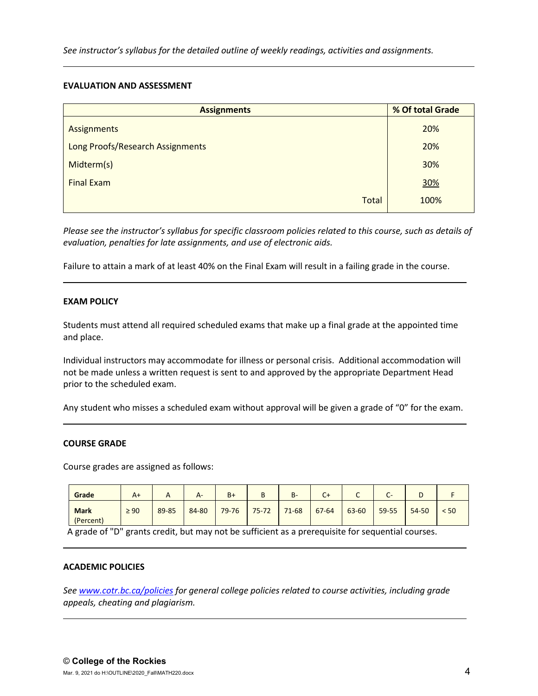*See instructor's syllabus for the detailed outline of weekly readings, activities and assignments.* 

## **EVALUATION AND ASSESSMENT**

| <b>Assignments</b>               | % Of total Grade |  |  |
|----------------------------------|------------------|--|--|
| Assignments                      | 20%              |  |  |
| Long Proofs/Research Assignments | 20%              |  |  |
| Midterm(s)                       | 30%              |  |  |
| <b>Final Exam</b>                | 30%              |  |  |
| <b>Total</b>                     | 100%             |  |  |

*Please see the instructor's syllabus for specific classroom policies related to this course, such as details of evaluation, penalties for late assignments, and use of electronic aids.*

Failure to attain a mark of at least 40% on the Final Exam will result in a failing grade in the course.

# **EXAM POLICY**

Students must attend all required scheduled exams that make up a final grade at the appointed time and place.

Individual instructors may accommodate for illness or personal crisis. Additional accommodation will not be made unless a written request is sent to and approved by the appropriate Department Head prior to the scheduled exam.

Any student who misses a scheduled exam without approval will be given a grade of "0" for the exam.

## **COURSE GRADE**

Course grades are assigned as follows:

| Grade                    | $A+$      | $\sqrt{ }$ | $A-$  | $B+$      | D<br>Þ    | B-        | C+        | ֊     | $\overline{\phantom{0}}$<br>$\sim$ | ╺         |      |
|--------------------------|-----------|------------|-------|-----------|-----------|-----------|-----------|-------|------------------------------------|-----------|------|
| <b>Mark</b><br>(Percent) | $\geq 90$ | 89-85      | 84-80 | $79 - 76$ | $75 - 72$ | $71 - 68$ | $67 - 64$ | 63-60 | 59-55                              | $54 - 50$ | < 50 |

A grade of "D" grants credit, but may not be sufficient as a prerequisite for sequential courses.

## **ACADEMIC POLICIES**

*See [www.cotr.bc.ca/policies](http://www.cotr.bc.ca/policies) for general college policies related to course activities, including grade appeals, cheating and plagiarism.*